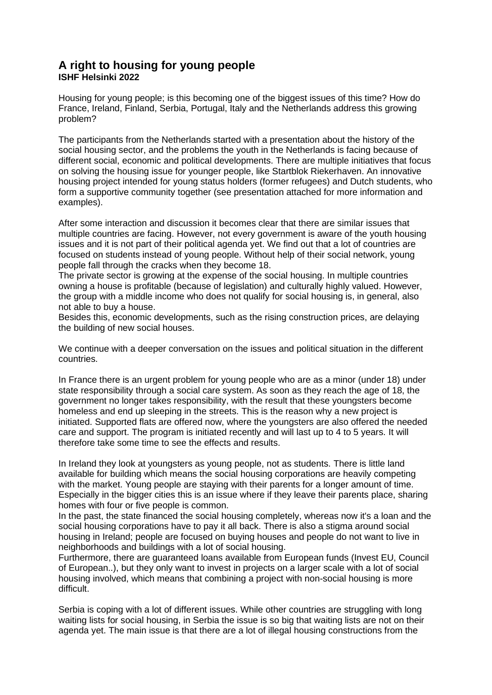## **A right to housing for young people ISHF Helsinki 2022**

Housing for young people; is this becoming one of the biggest issues of this time? How do France, Ireland, Finland, Serbia, Portugal, Italy and the Netherlands address this growing problem?

The participants from the Netherlands started with a presentation about the history of the social housing sector, and the problems the youth in the Netherlands is facing because of different social, economic and political developments. There are multiple initiatives that focus on solving the housing issue for younger people, like Startblok Riekerhaven. An innovative housing project intended for young status holders (former refugees) and Dutch students, who form a supportive community together (see presentation attached for more information and examples).

After some interaction and discussion it becomes clear that there are similar issues that multiple countries are facing. However, not every government is aware of the youth housing issues and it is not part of their political agenda yet. We find out that a lot of countries are focused on students instead of young people. Without help of their social network, young people fall through the cracks when they become 18.

The private sector is growing at the expense of the social housing. In multiple countries owning a house is profitable (because of legislation) and culturally highly valued. However, the group with a middle income who does not qualify for social housing is, in general, also not able to buy a house.

Besides this, economic developments, such as the rising construction prices, are delaying the building of new social houses.

We continue with a deeper conversation on the issues and political situation in the different countries.

In France there is an urgent problem for young people who are as a minor (under 18) under state responsibility through a social care system. As soon as they reach the age of 18, the government no longer takes responsibility, with the result that these youngsters become homeless and end up sleeping in the streets. This is the reason why a new project is initiated. Supported flats are offered now, where the youngsters are also offered the needed care and support. The program is initiated recently and will last up to 4 to 5 years. It will therefore take some time to see the effects and results.

In Ireland they look at youngsters as young people, not as students. There is little land available for building which means the social housing corporations are heavily competing with the market. Young people are staying with their parents for a longer amount of time. Especially in the bigger cities this is an issue where if they leave their parents place, sharing homes with four or five people is common.

In the past, the state financed the social housing completely, whereas now it's a loan and the social housing corporations have to pay it all back. There is also a stigma around social housing in Ireland; people are focused on buying houses and people do not want to live in neighborhoods and buildings with a lot of social housing.

Furthermore, there are guaranteed loans available from European funds (Invest EU, Council of European..), but they only want to invest in projects on a larger scale with a lot of social housing involved, which means that combining a project with non-social housing is more difficult.

Serbia is coping with a lot of different issues. While other countries are struggling with long waiting lists for social housing, in Serbia the issue is so big that waiting lists are not on their agenda yet. The main issue is that there are a lot of illegal housing constructions from the